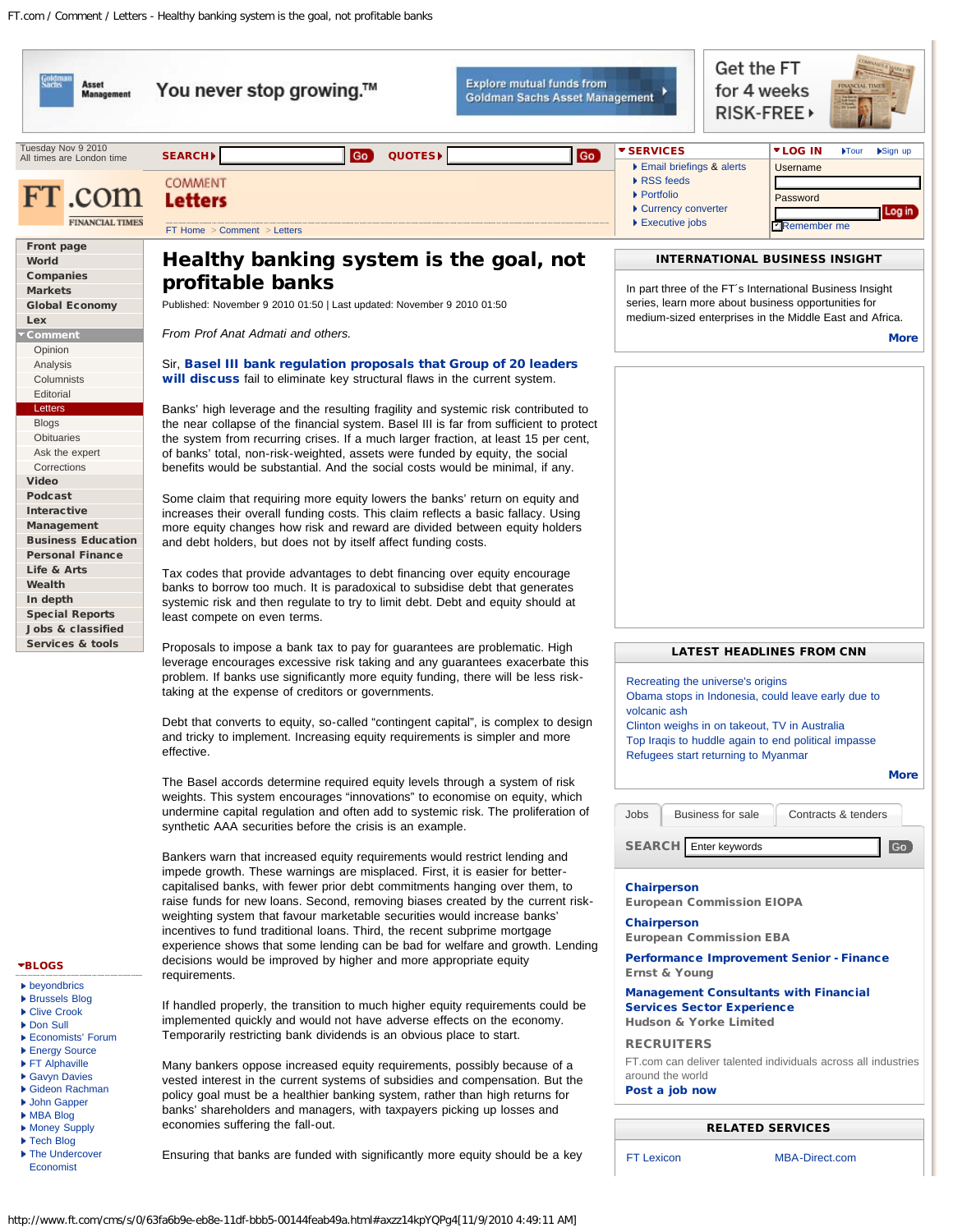Tuesday Nov 9 2010 All times are London time



**FINANCIAL TIMES** 

[Front page](http://www.ft.com/) [World](http://www.ft.com/world) [Companies](http://www.ft.com/companies) [Markets](http://www.ft.com/markets) [Global Economy](http://www.ft.com/global-economy)

[Lex](http://www.ft.com/lex) [Comment](http://www.ft.com/comment) [Opinion](http://www.ft.com/comment/opinion) [Analysis](http://www.ft.com/comment/analysis) **[Columnists](http://www.ft.com/comment/columnists)** [Editorial](http://www.ft.com/comment/editorial) [Letters](http://www.ft.com/comment/letters) **[Blogs](http://www.ft.com/comment/blogs) [Obituaries](http://www.ft.com/comment/obituaries)** [Ask the expert](http://www.ft.com/comment/discussion/asktheexpert) [Corrections](http://www.ft.com/comment/corrections) [Video](http://video.ft.com/) [Podcast](http://podcast.ft.com/) **[Interactive](http://www.ft.com/interactive)** [Management](http://www.ft.com/management) [Business Education](http://www.ft.com/businesseducation) [Personal Finance](http://www.ft.com/personal-finance) [Life & Arts](http://www.ft.com/arts-leisure) [Wealth](http://www.ft.com/wealth) [In depth](http://www.ft.com/indepth)

[Special Reports](http://www.ft.com/reports) [Jobs & classified](http://www.ft.com/jobsclassified) [Services & tools](http://www.ft.com/servicestools)

# [BLOGS](http://www.ft.com/comment/blogs)

- **b** hevondbrics
- ▶ [Brussels Blog](http://blogs.ft.com/brusselsblog/)
- [Clive Crook](http://blogs.ft.com/crookblog)
- [Don Sull](http://blogs.ft.com/donsullblog/)
- [Economists' Forum](http://www.ft.com/econforum)
- ▶ [Energy Source](http://blogs.ft.com/energy-source/)
- [FT Alphaville](http://ftalphaville.ft.com/)
- [Gavyn Davies](http://blogs.ft.com/gavyndavies/) [Gideon Rachman](http://blogs.ft.com/rachmanblog/)
- ▶ [John Gapper](http://blogs.ft.com/gapperblog)
- [MBA Blog](http://blogs.ft.com/mba-blog/)
- ▶ [Money Supply](http://blogs.ft.com/money-supply/)
- ▶ [Tech Blog](http://blogs.ft.com/techblog/)
- ▶ [The Undercover](http://blogs.ft.com/undercover/) [Economist](http://blogs.ft.com/undercover/)

Healthy banking system is the goal, not profitable banks

Published: November 9 2010 01:50 | Last updated: November 9 2010 01:50

*From Prof Anat Admati and others.*

[FT Home](http://www.ft.com/) > [Comment](http://www.ft.com/comment) > [Letters](http://www.ft.com/comment/letters)

Letters COMMENT

Sir, [Basel III bank regulation proposals that Group of 20 leaders](http://www.ft.com/cms/s/0/56ef382a-c70e-11df-a806-00144feab49a.html) [will discuss](http://www.ft.com/cms/s/0/56ef382a-c70e-11df-a806-00144feab49a.html) fail to eliminate key structural flaws in the current system.

Banks' high leverage and the resulting fragility and systemic risk contributed to the near collapse of the financial system. Basel III is far from sufficient to protect the system from recurring crises. If a much larger fraction, at least 15 per cent, of banks' total, non-risk-weighted, assets were funded by equity, the social benefits would be substantial. And the social costs would be minimal, if any.

Some claim that requiring more equity lowers the banks' return on equity and increases their overall funding costs. This claim reflects a basic fallacy. Using more equity changes how risk and reward are divided between equity holders and debt holders, but does not by itself affect funding costs.

Tax codes that provide advantages to debt financing over equity encourage banks to borrow too much. It is paradoxical to subsidise debt that generates systemic risk and then regulate to try to limit debt. Debt and equity should at least compete on even terms.

Proposals to impose a bank tax to pay for guarantees are problematic. High leverage encourages excessive risk taking and any guarantees exacerbate this problem. If banks use significantly more equity funding, there will be less risktaking at the expense of creditors or governments.

Debt that converts to equity, so-called "contingent capital", is complex to design and tricky to implement. Increasing equity requirements is simpler and more effective.

The Basel accords determine required equity levels through a system of risk weights. This system encourages "innovations" to economise on equity, which undermine capital regulation and often add to systemic risk. The proliferation of synthetic AAA securities before the crisis is an example.

Bankers warn that increased equity requirements would restrict lending and impede growth. These warnings are misplaced. First, it is easier for bettercapitalised banks, with fewer prior debt commitments hanging over them, to raise funds for new loans. Second, removing biases created by the current riskweighting system that favour marketable securities would increase banks' incentives to fund traditional loans. Third, the recent subprime mortgage experience shows that some lending can be bad for welfare and growth. Lending decisions would be improved by higher and more appropriate equity requirements.

If handled properly, the transition to much higher equity requirements could be implemented quickly and would not have adverse effects on the economy. Temporarily restricting bank dividends is an obvious place to start.

Many bankers oppose increased equity requirements, possibly because of a vested interest in the current systems of subsidies and compensation. But the policy goal must be a healthier banking system, rather than high returns for banks' shareholders and managers, with taxpayers picking up losses and economies suffering the fall-out.

Ensuring that banks are funded with significantly more equity should be a key

[SEARCH](http://www.ft.com/servicestools/help/search)D GO [QUOTES](http://markets.ft.com/markets/companyResearch.asp)D

Go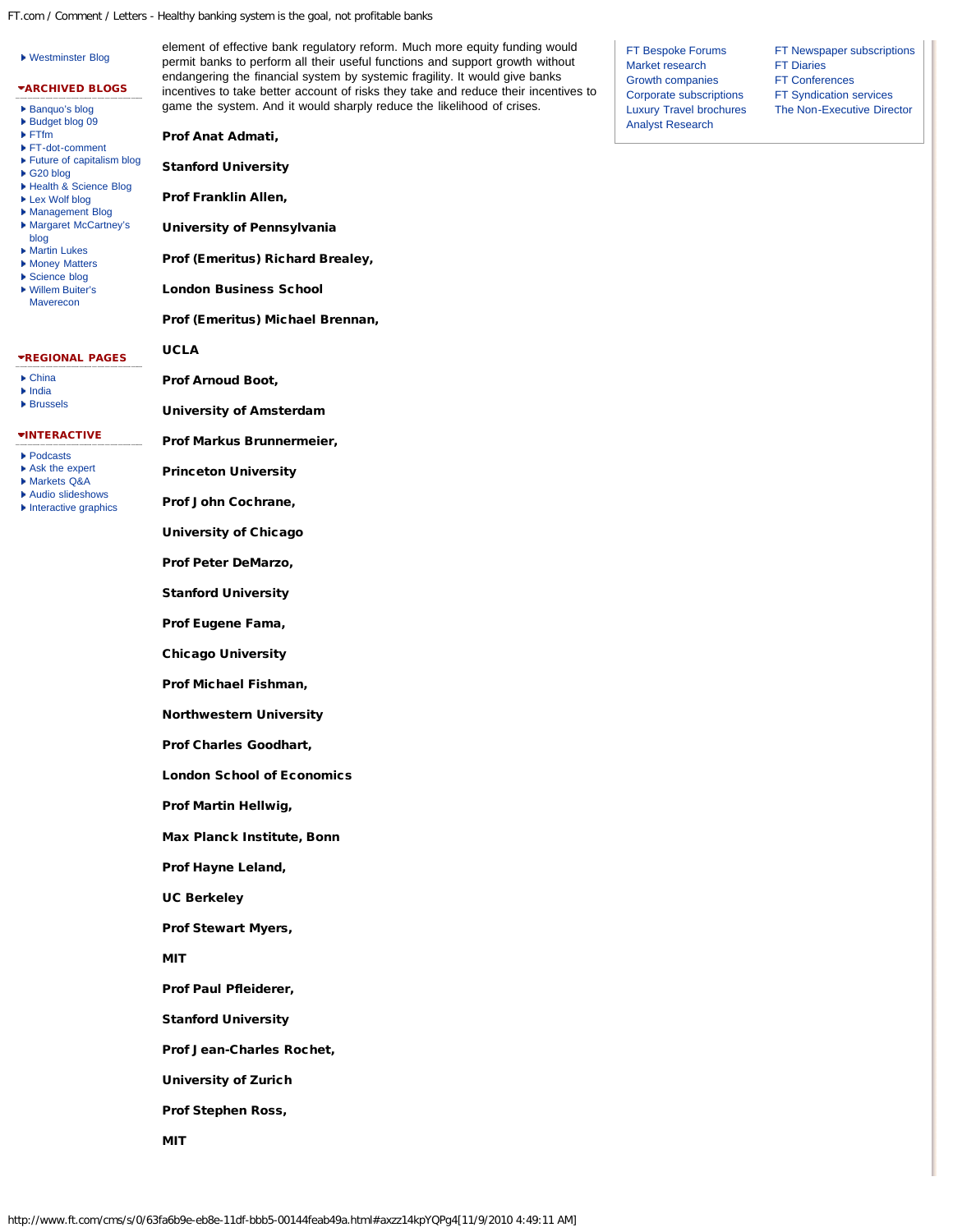- [Budget blog 09](http://blogs.ft.com/budget-blog-09/) [FTfm](http://blogs.ft.com/ftfmblog/)
- [FT-dot-comment](http://blogs.ft.com/ft-dot-comment/) [Future of capitalism blog](http://blogs.ft.com/capitalismblog/)
- 
- [G20 blog](http://blogs.ft.com/g20blog) [Health & Science Blog](http://blogs.ft.com/healthblog)
- 
- ▶ [Lex Wolf blog](http://blogs.ft.com/lex-wolf-blog/)
- [Management Blog](http://blogs.ft.com/management) ▶ [Margaret McCartney's](http://blogs.ft.com/mccartney/)
- [blog](http://blogs.ft.com/mccartney/) ▶ [Martin Lukes](http://blogs.ft.com/martin-lukes-blog/)
- ▶ [Money Matters](http://blogs.ft.com/money-matters/)
- ▶ [Science blog](http://blogs.ft.com/scienceblog/)
- [Willem Buiter's](http://blogs.ft.com/maverecon) [Maverecon](http://blogs.ft.com/maverecon)

#### REGIONAL PAGES

- [China](http://www.ft.com/world/asiapacific/china)
- [India](http://www.ft.com/world/asiapacific/india)
- **▶ [Brussels](http://www.ft.com/world/europe/brussels)**

# **\*[INTERACTIVE](http://www.ft.com/multimedia)**

- ▶ [Podcasts](http://podcast.ft.com/)
- [Ask the expert](http://www.ft.com/comment/discussion/asktheexpert)
- [Markets Q&A](http://www.ft.com/markets/asktheexpert)
- ▶ [Audio slideshows](http://www.ft.com/multimedia/audioslideshows)
- **[Interactive graphics](http://www.ft.com/multimedia/interactive)**

Prof Anat Admati,

Stanford University

Prof Franklin Allen,

University of Pennsylvania

Prof (Emeritus) Richard Brealey,

London Business School

Prof (Emeritus) Michael Brennan,

## UCLA

Prof Arnoud Boot,

University of Amsterdam

Prof Markus Brunnermeier,

Princeton University

Prof John Cochrane,

University of Chicago

Prof Peter DeMarzo,

Stanford University

Prof Eugene Fama,

Chicago University

Prof Michael Fishman,

Northwestern University

Prof Charles Goodhart,

London School of Economics

Prof Martin Hellwig,

Max Planck Institute, Bonn

Prof Hayne Leland,

UC Berkeley

Prof Stewart Myers,

MIT

Prof Paul Pfleiderer,

Stanford University

Prof Jean-Charles Rochet,

University of Zurich

Prof Stephen Ross,

MIT